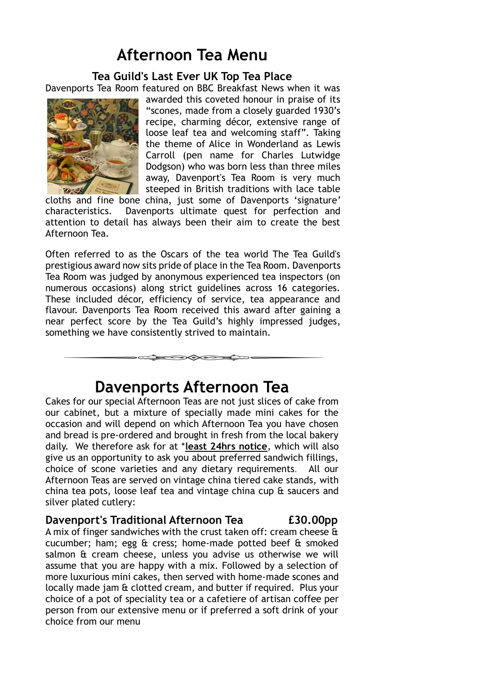# **Afternoon Tea Menu**

**Tea Guild's Last Ever UK Top Tea Place**

Davenports Tea Room featured on BBC Breakfast News when it was



awarded this coveted honour in praise of its "scones, made from a closely guarded 1930's recipe, charming décor, extensive range of loose leaf tea and welcoming staff". Taking the theme of Alice in Wonderland as Lewis Carroll (pen name for Charles Lutwidge Dodgson) who was born less than three miles away, Davenport's Tea Room is very much steeped in British traditions with lace table

cloths and fine bone china, just some of Davenports 'signature' characteristics. Davenports ultimate quest for perfection and attention to detail has always been their aim to create the best Afternoon Tea.

Often referred to as the Oscars of the tea world The Tea Guild's prestigious award now sits pride of place in the Tea Room. Davenports Tea Room was judged by anonymous experienced tea inspectors (on numerous occasions) along strict guidelines across 16 categories. These included décor, efficiency of service, tea appearance and flavour. Davenports Tea Room received this award after gaining a near perfect score by the Tea Guild's highly impressed judges, something we have consistently strived to maintain.

**Davenports Afternoon Tea**

 $\rightarrow$ 

Cakes for our special Afternoon Teas are not just slices of cake from our cabinet, but a mixture of specially made mini cakes for the occasion and will depend on which Afternoon Tea you have chosen and bread is pre-ordered and brought in fresh from the local bakery daily. We therefore ask for at \***least 24hrs notice**, which will also give us an opportunity to ask you about preferred sandwich fillings, choice of scone varieties and any dietary requirements. All our Afternoon Teas are served on vintage china tiered cake stands, with china tea pots, loose leaf tea and vintage china cup & saucers and silver plated cutlery:

#### **Davenport's Traditional Afternoon Tea £30.00pp**

A mix of finger sandwiches with the crust taken off: cream cheese & cucumber; ham; egg & cress; home-made potted beef & smoked salmon & cream cheese, unless you advise us otherwise we will assume that you are happy with a mix. Followed by a selection of more luxurious mini cakes, then served with home-made scones and locally made jam & clotted cream, and butter if required. Plus your choice of a pot of speciality tea or a cafetiere of artisan coffee per person from our extensive menu or if preferred a soft drink of your choice from our menu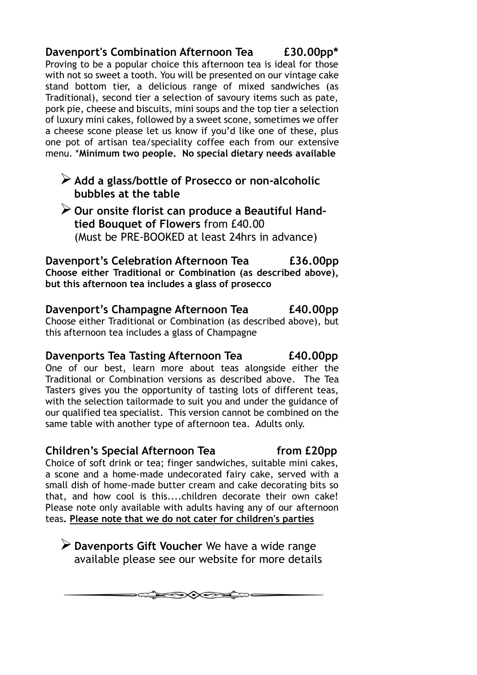**Davenport's Combination Afternoon Tea £30.00pp\*** Proving to be a popular choice this afternoon tea is ideal for those with not so sweet a tooth. You will be presented on our vintage cake stand bottom tier, a delicious range of mixed sandwiches (as Traditional), second tier a selection of savoury items such as pate, pork pie, cheese and biscuits, mini soups and the top tier a selection of luxury mini cakes, followed by a sweet scone, sometimes we offer a cheese scone please let us know if you'd like one of these, plus one pot of artisan tea/speciality coffee each from our extensive menu. \***Minimum two people. No special dietary needs available**

- ➢**Add a glass/bottle of Prosecco or non-alcoholic bubbles at the table**
- ➢**Our onsite florist can produce a Beautiful Handtied Bouquet of Flowers** from £40.00 (Must be PRE-BOOKED at least 24hrs in advance)

**Davenport's Celebration Afternoon Tea £36.00pp Choose either Traditional or Combination (as described above), but this afternoon tea includes a glass of prosecco**

**Davenport's Champagne Afternoon Tea £40.00pp** Choose either Traditional or Combination (as described above), but this afternoon tea includes a glass of Champagne

## **Davenports Tea Tasting Afternoon Tea £40.00pp**

One of our best, learn more about teas alongside either the Traditional or Combination versions as described above. The Tea Tasters gives you the opportunity of tasting lots of different teas, with the selection tailormade to suit you and under the guidance of our qualified tea specialist. This version cannot be combined on the same table with another type of afternoon tea. Adults only.

#### **Children's Special Afternoon Tea 6 and 10 from £20pp**

Choice of soft drink or tea; finger sandwiches, suitable mini cakes, a scone and a home-made undecorated fairy cake, served with a small dish of home-made butter cream and cake decorating bits so that, and how cool is this....children decorate their own cake! Please note only available with adults having any of our afternoon teas**. Please note that we do not cater for children's parties**

➢**Davenports Gift Voucher** We have a wide range available please see our website for more details

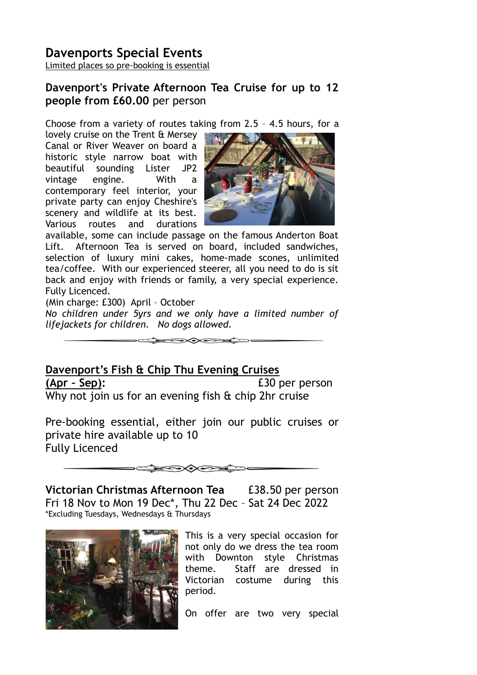#### **Davenports Special Events** Limited places so pre-booking is essential

### **Davenport's Private Afternoon Tea Cruise for up to 12 people from £60.00** per person

Choose from a variety of routes taking from 2.5 – 4.5 hours, for a

lovely cruise on the Trent & Mersey Canal or River Weaver on board a historic style narrow boat with beautiful sounding Lister JP2 vintage engine. With a contemporary feel interior, your private party can enjoy Cheshire's scenery and wildlife at its best. Various routes and durations



available, some can include passage on the famous Anderton Boat Lift. Afternoon Tea is served on board, included sandwiches, selection of luxury mini cakes, home-made scones, unlimited tea/coffee. With our experienced steerer, all you need to do is sit back and enjoy with friends or family, a very special experience. Fully Licenced.

(Min charge: £300) April – October

*No children under 5yrs and we only have a limited number of lifejackets for children. No dogs allowed.*

 $\bigotimes_{\mathcal{A}}\mathcal{A}\cong\mathcal{A}\otimes\mathcal{A}$ 

# **Davenport's Fish & Chip Thu Evening Cruises**

**(Apr – Sep):** £30 per person Why not join us for an evening fish & chip 2hr cruise

Pre-booking essential, either join our public cruises or private hire available up to 10 Fully Licenced

 $\widehat{\phantom{a}}$ 

**Victorian Christmas Afternoon Tea** £38.50 per person Fri 18 Nov to Mon 19 Dec\*, Thu 22 Dec – Sat 24 Dec 2022 \*Excluding Tuesdays, Wednesdays & Thursdays



This is a very special occasion for not only do we dress the tea room with Downton style Christmas theme. Staff are dressed in Victorian costume during this period.

On offer are two very special